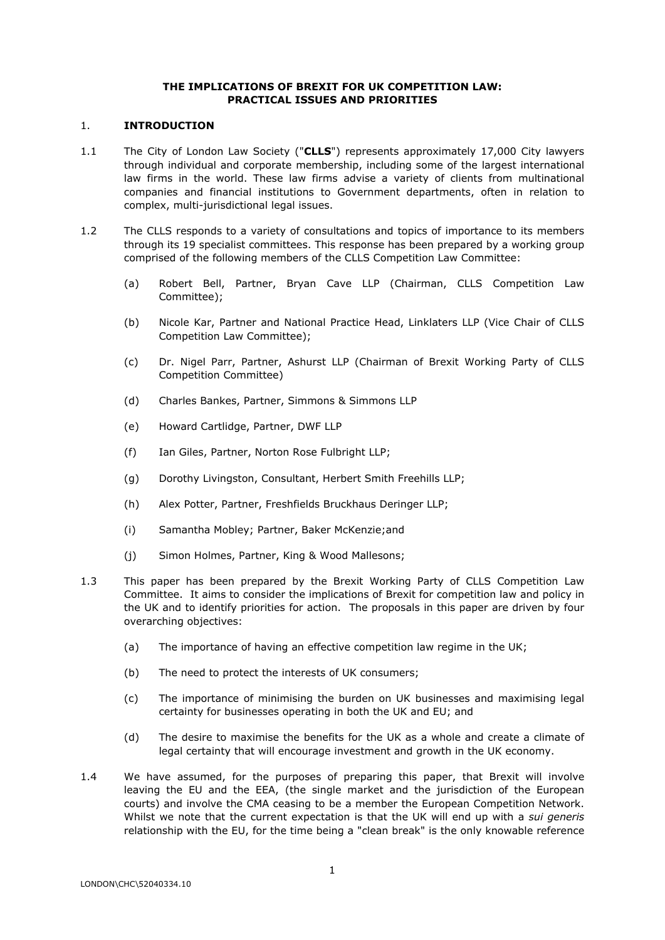# **THE IMPLICATIONS OF BREXIT FOR UK COMPETITION LAW: PRACTICAL ISSUES AND PRIORITIES**

### 1. **INTRODUCTION**

- 1.1 The City of London Law Society ("**CLLS**") represents approximately 17,000 City lawyers through individual and corporate membership, including some of the largest international law firms in the world. These law firms advise a variety of clients from multinational companies and financial institutions to Government departments, often in relation to complex, multi-jurisdictional legal issues.
- 1.2 The CLLS responds to a variety of consultations and topics of importance to its members through its 19 specialist committees. This response has been prepared by a working group comprised of the following members of the CLLS Competition Law Committee:
	- (a) Robert Bell, Partner, Bryan Cave LLP (Chairman, CLLS Competition Law Committee);
	- (b) Nicole Kar, Partner and National Practice Head, Linklaters LLP (Vice Chair of CLLS Competition Law Committee);
	- (c) Dr. Nigel Parr, Partner, Ashurst LLP (Chairman of Brexit Working Party of CLLS Competition Committee)
	- (d) Charles Bankes, Partner, Simmons & Simmons LLP
	- (e) Howard Cartlidge, Partner, DWF LLP
	- (f) Ian Giles, Partner, Norton Rose Fulbright LLP;
	- (g) Dorothy Livingston, Consultant, Herbert Smith Freehills LLP;
	- (h) Alex Potter, Partner, Freshfields Bruckhaus Deringer LLP;
	- (i) Samantha Mobley; Partner, Baker McKenzie;and
	- (j) Simon Holmes, Partner, King & Wood Mallesons;
- 1.3 This paper has been prepared by the Brexit Working Party of CLLS Competition Law Committee. It aims to consider the implications of Brexit for competition law and policy in the UK and to identify priorities for action. The proposals in this paper are driven by four overarching objectives:
	- (a) The importance of having an effective competition law regime in the UK;
	- (b) The need to protect the interests of UK consumers;
	- (c) The importance of minimising the burden on UK businesses and maximising legal certainty for businesses operating in both the UK and EU; and
	- (d) The desire to maximise the benefits for the UK as a whole and create a climate of legal certainty that will encourage investment and growth in the UK economy.
- 1.4 We have assumed, for the purposes of preparing this paper, that Brexit will involve leaving the EU and the EEA, (the single market and the jurisdiction of the European courts) and involve the CMA ceasing to be a member the European Competition Network. Whilst we note that the current expectation is that the UK will end up with a *sui generis* relationship with the EU, for the time being a "clean break" is the only knowable reference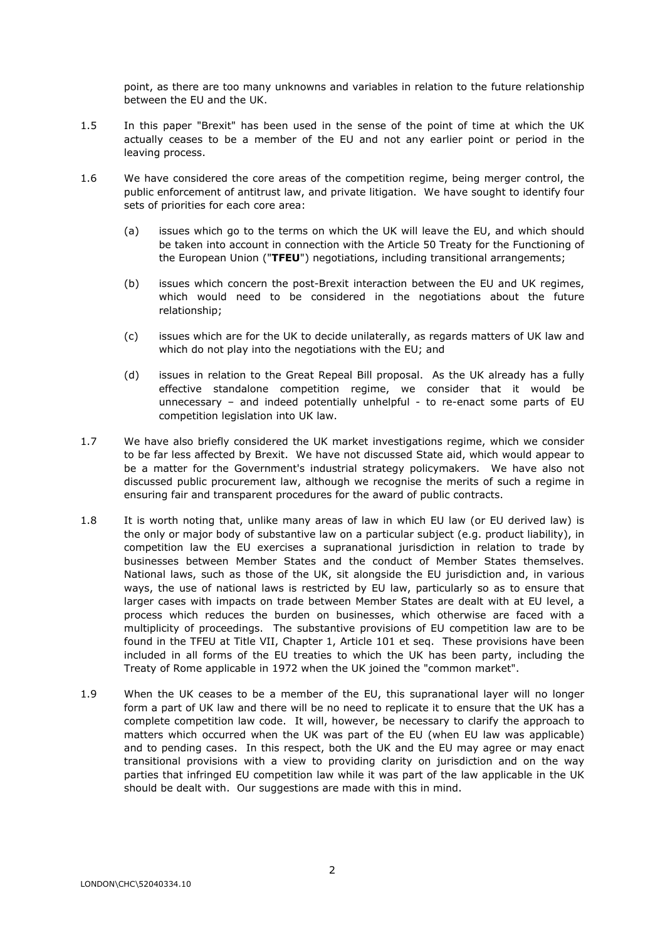point, as there are too many unknowns and variables in relation to the future relationship between the EU and the UK.

- 1.5 In this paper "Brexit" has been used in the sense of the point of time at which the UK actually ceases to be a member of the EU and not any earlier point or period in the leaving process.
- 1.6 We have considered the core areas of the competition regime, being merger control, the public enforcement of antitrust law, and private litigation. We have sought to identify four sets of priorities for each core area:
	- (a) issues which go to the terms on which the UK will leave the EU, and which should be taken into account in connection with the Article 50 Treaty for the Functioning of the European Union ("**TFEU**") negotiations, including transitional arrangements;
	- (b) issues which concern the post-Brexit interaction between the EU and UK regimes, which would need to be considered in the negotiations about the future relationship;
	- (c) issues which are for the UK to decide unilaterally, as regards matters of UK law and which do not play into the negotiations with the EU; and
	- (d) issues in relation to the Great Repeal Bill proposal. As the UK already has a fully effective standalone competition regime, we consider that it would be unnecessary – and indeed potentially unhelpful - to re-enact some parts of EU competition legislation into UK law.
- 1.7 We have also briefly considered the UK market investigations regime, which we consider to be far less affected by Brexit. We have not discussed State aid, which would appear to be a matter for the Government's industrial strategy policymakers. We have also not discussed public procurement law, although we recognise the merits of such a regime in ensuring fair and transparent procedures for the award of public contracts.
- 1.8 It is worth noting that, unlike many areas of law in which EU law (or EU derived law) is the only or major body of substantive law on a particular subject (e.g. product liability), in competition law the EU exercises a supranational jurisdiction in relation to trade by businesses between Member States and the conduct of Member States themselves. National laws, such as those of the UK, sit alongside the EU jurisdiction and, in various ways, the use of national laws is restricted by EU law, particularly so as to ensure that larger cases with impacts on trade between Member States are dealt with at EU level, a process which reduces the burden on businesses, which otherwise are faced with a multiplicity of proceedings. The substantive provisions of EU competition law are to be found in the TFEU at Title VII, Chapter 1, Article 101 et seq. These provisions have been included in all forms of the EU treaties to which the UK has been party, including the Treaty of Rome applicable in 1972 when the UK joined the "common market".
- 1.9 When the UK ceases to be a member of the EU, this supranational layer will no longer form a part of UK law and there will be no need to replicate it to ensure that the UK has a complete competition law code. It will, however, be necessary to clarify the approach to matters which occurred when the UK was part of the EU (when EU law was applicable) and to pending cases. In this respect, both the UK and the EU may agree or may enact transitional provisions with a view to providing clarity on jurisdiction and on the way parties that infringed EU competition law while it was part of the law applicable in the UK should be dealt with. Our suggestions are made with this in mind.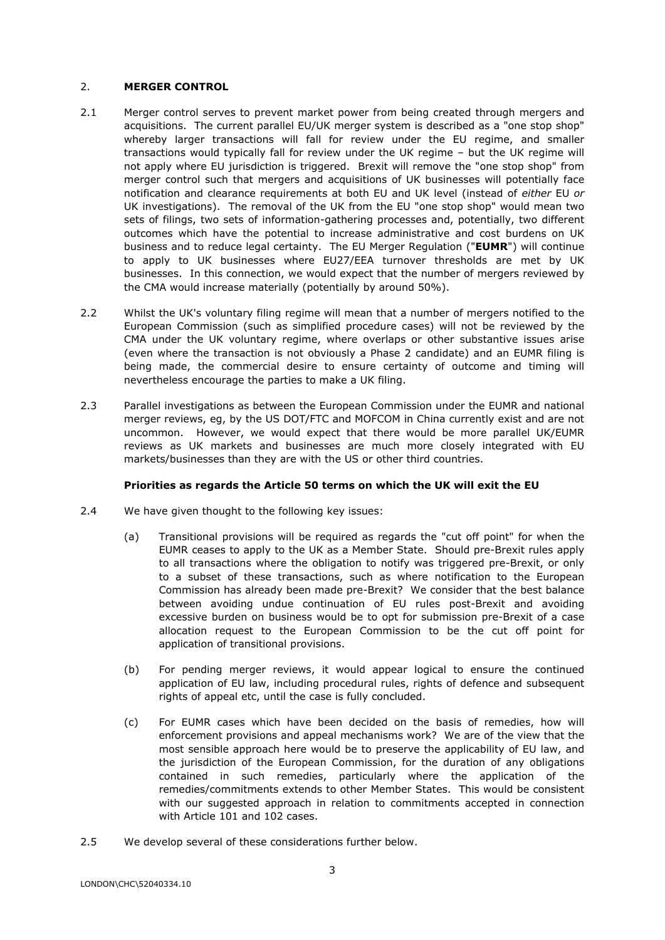# 2. **MERGER CONTROL**

- 2.1 Merger control serves to prevent market power from being created through mergers and acquisitions. The current parallel EU/UK merger system is described as a "one stop shop" whereby larger transactions will fall for review under the EU regime, and smaller transactions would typically fall for review under the UK regime – but the UK regime will not apply where EU jurisdiction is triggered. Brexit will remove the "one stop shop" from merger control such that mergers and acquisitions of UK businesses will potentially face notification and clearance requirements at both EU and UK level (instead of *either* EU *or* UK investigations). The removal of the UK from the EU "one stop shop" would mean two sets of filings, two sets of information-gathering processes and, potentially, two different outcomes which have the potential to increase administrative and cost burdens on UK business and to reduce legal certainty. The EU Merger Regulation ("**EUMR**") will continue to apply to UK businesses where EU27/EEA turnover thresholds are met by UK businesses. In this connection, we would expect that the number of mergers reviewed by the CMA would increase materially (potentially by around 50%).
- 2.2 Whilst the UK's voluntary filing regime will mean that a number of mergers notified to the European Commission (such as simplified procedure cases) will not be reviewed by the CMA under the UK voluntary regime, where overlaps or other substantive issues arise (even where the transaction is not obviously a Phase 2 candidate) and an EUMR filing is being made, the commercial desire to ensure certainty of outcome and timing will nevertheless encourage the parties to make a UK filing.
- 2.3 Parallel investigations as between the European Commission under the EUMR and national merger reviews, eg, by the US DOT/FTC and MOFCOM in China currently exist and are not uncommon. However, we would expect that there would be more parallel UK/EUMR reviews as UK markets and businesses are much more closely integrated with EU markets/businesses than they are with the US or other third countries.

# **Priorities as regards the Article 50 terms on which the UK will exit the EU**

- 2.4 We have given thought to the following key issues:
	- (a) Transitional provisions will be required as regards the "cut off point" for when the EUMR ceases to apply to the UK as a Member State. Should pre-Brexit rules apply to all transactions where the obligation to notify was triggered pre-Brexit, or only to a subset of these transactions, such as where notification to the European Commission has already been made pre-Brexit? We consider that the best balance between avoiding undue continuation of EU rules post-Brexit and avoiding excessive burden on business would be to opt for submission pre-Brexit of a case allocation request to the European Commission to be the cut off point for application of transitional provisions.
	- (b) For pending merger reviews, it would appear logical to ensure the continued application of EU law, including procedural rules, rights of defence and subsequent rights of appeal etc, until the case is fully concluded.
	- (c) For EUMR cases which have been decided on the basis of remedies, how will enforcement provisions and appeal mechanisms work? We are of the view that the most sensible approach here would be to preserve the applicability of EU law, and the jurisdiction of the European Commission, for the duration of any obligations contained in such remedies, particularly where the application of the remedies/commitments extends to other Member States. This would be consistent with our suggested approach in relation to commitments accepted in connection with Article 101 and 102 cases.
- 2.5 We develop several of these considerations further below.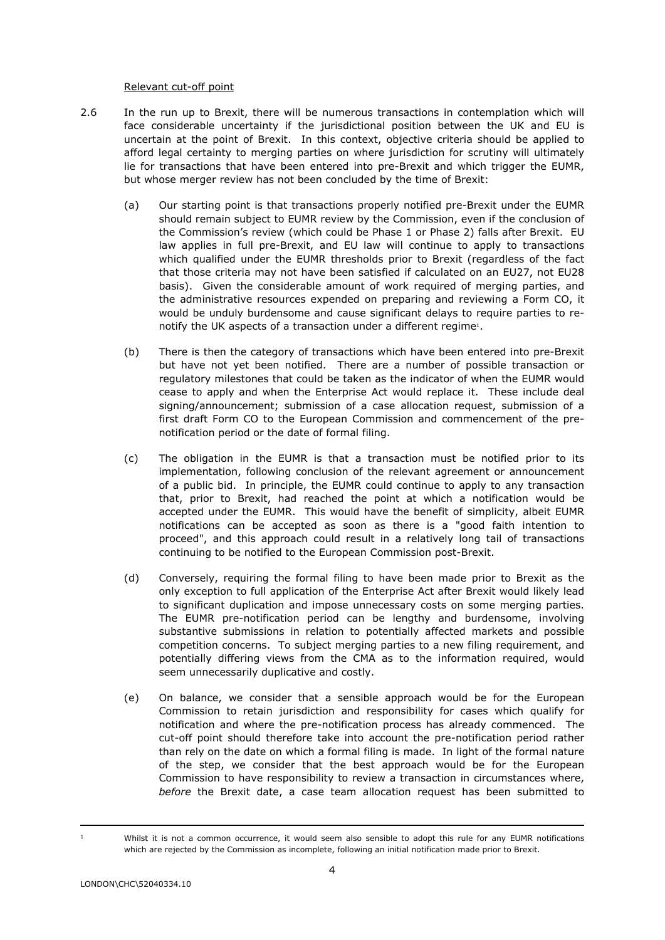### Relevant cut-off point

- 2.6 In the run up to Brexit, there will be numerous transactions in contemplation which will face considerable uncertainty if the jurisdictional position between the UK and EU is uncertain at the point of Brexit. In this context, objective criteria should be applied to afford legal certainty to merging parties on where jurisdiction for scrutiny will ultimately lie for transactions that have been entered into pre-Brexit and which trigger the EUMR, but whose merger review has not been concluded by the time of Brexit:
	- (a) Our starting point is that transactions properly notified pre-Brexit under the EUMR should remain subject to EUMR review by the Commission, even if the conclusion of the Commission's review (which could be Phase 1 or Phase 2) falls after Brexit. EU law applies in full pre-Brexit, and EU law will continue to apply to transactions which qualified under the EUMR thresholds prior to Brexit (regardless of the fact that those criteria may not have been satisfied if calculated on an EU27, not EU28 basis). Given the considerable amount of work required of merging parties, and the administrative resources expended on preparing and reviewing a Form CO, it would be unduly burdensome and cause significant delays to require parties to renotify the UK aspects of a transaction under a different regime<sup>1</sup>.
	- (b) There is then the category of transactions which have been entered into pre-Brexit but have not yet been notified. There are a number of possible transaction or regulatory milestones that could be taken as the indicator of when the EUMR would cease to apply and when the Enterprise Act would replace it. These include deal signing/announcement; submission of a case allocation request, submission of a first draft Form CO to the European Commission and commencement of the prenotification period or the date of formal filing.
	- (c) The obligation in the EUMR is that a transaction must be notified prior to its implementation, following conclusion of the relevant agreement or announcement of a public bid. In principle, the EUMR could continue to apply to any transaction that, prior to Brexit, had reached the point at which a notification would be accepted under the EUMR. This would have the benefit of simplicity, albeit EUMR notifications can be accepted as soon as there is a "good faith intention to proceed", and this approach could result in a relatively long tail of transactions continuing to be notified to the European Commission post-Brexit.
	- (d) Conversely, requiring the formal filing to have been made prior to Brexit as the only exception to full application of the Enterprise Act after Brexit would likely lead to significant duplication and impose unnecessary costs on some merging parties. The EUMR pre-notification period can be lengthy and burdensome, involving substantive submissions in relation to potentially affected markets and possible competition concerns. To subject merging parties to a new filing requirement, and potentially differing views from the CMA as to the information required, would seem unnecessarily duplicative and costly.
	- (e) On balance, we consider that a sensible approach would be for the European Commission to retain jurisdiction and responsibility for cases which qualify for notification and where the pre-notification process has already commenced. The cut-off point should therefore take into account the pre-notification period rather than rely on the date on which a formal filing is made. In light of the formal nature of the step, we consider that the best approach would be for the European Commission to have responsibility to review a transaction in circumstances where, *before* the Brexit date, a case team allocation request has been submitted to

Whilst it is not a common occurrence, it would seem also sensible to adopt this rule for any EUMR notifications which are rejected by the Commission as incomplete, following an initial notification made prior to Brexit.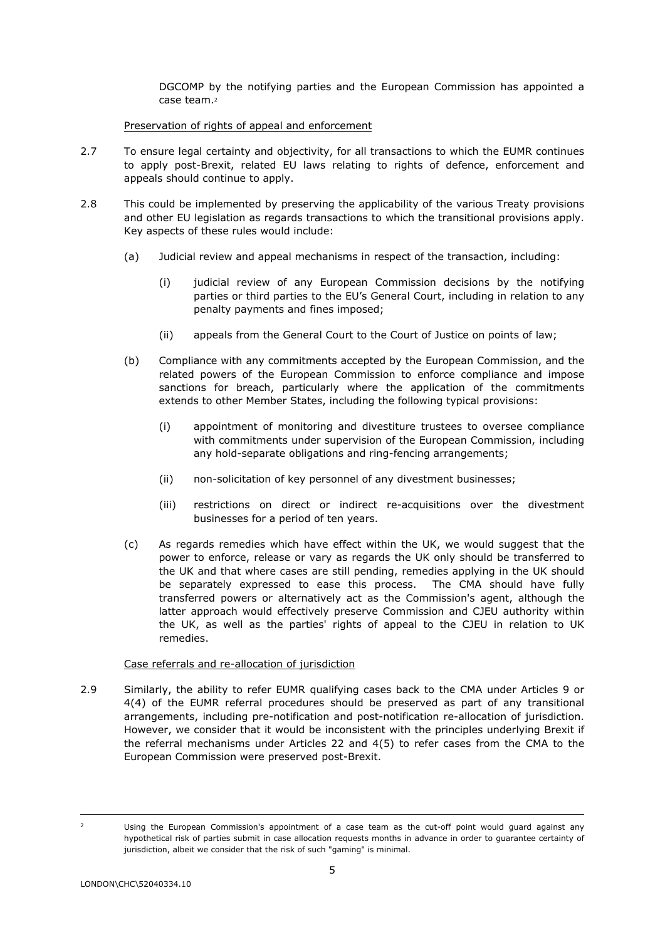DGCOMP by the notifying parties and the European Commission has appointed a case team.<sup>2</sup>

# Preservation of rights of appeal and enforcement

- 2.7 To ensure legal certainty and objectivity, for all transactions to which the EUMR continues to apply post-Brexit, related EU laws relating to rights of defence, enforcement and appeals should continue to apply.
- 2.8 This could be implemented by preserving the applicability of the various Treaty provisions and other EU legislation as regards transactions to which the transitional provisions apply. Key aspects of these rules would include:
	- (a) Judicial review and appeal mechanisms in respect of the transaction, including:
		- (i) judicial review of any European Commission decisions by the notifying parties or third parties to the EU's General Court, including in relation to any penalty payments and fines imposed;
		- (ii) appeals from the General Court to the Court of Justice on points of law;
	- (b) Compliance with any commitments accepted by the European Commission, and the related powers of the European Commission to enforce compliance and impose sanctions for breach, particularly where the application of the commitments extends to other Member States, including the following typical provisions:
		- (i) appointment of monitoring and divestiture trustees to oversee compliance with commitments under supervision of the European Commission, including any hold-separate obligations and ring-fencing arrangements;
		- (ii) non-solicitation of key personnel of any divestment businesses;
		- (iii) restrictions on direct or indirect re-acquisitions over the divestment businesses for a period of ten years.
	- (c) As regards remedies which have effect within the UK, we would suggest that the power to enforce, release or vary as regards the UK only should be transferred to the UK and that where cases are still pending, remedies applying in the UK should be separately expressed to ease this process. The CMA should have fully transferred powers or alternatively act as the Commission's agent, although the latter approach would effectively preserve Commission and CJEU authority within the UK, as well as the parties' rights of appeal to the CJEU in relation to UK remedies.

# Case referrals and re-allocation of jurisdiction

2.9 Similarly, the ability to refer EUMR qualifying cases back to the CMA under Articles 9 or 4(4) of the EUMR referral procedures should be preserved as part of any transitional arrangements, including pre-notification and post-notification re-allocation of jurisdiction. However, we consider that it would be inconsistent with the principles underlying Brexit if the referral mechanisms under Articles 22 and 4(5) to refer cases from the CMA to the European Commission were preserved post-Brexit.

<sup>&</sup>lt;sup>2</sup> Using the European Commission's appointment of a case team as the cut-off point would quard against any hypothetical risk of parties submit in case allocation requests months in advance in order to guarantee certainty of jurisdiction, albeit we consider that the risk of such "gaming" is minimal.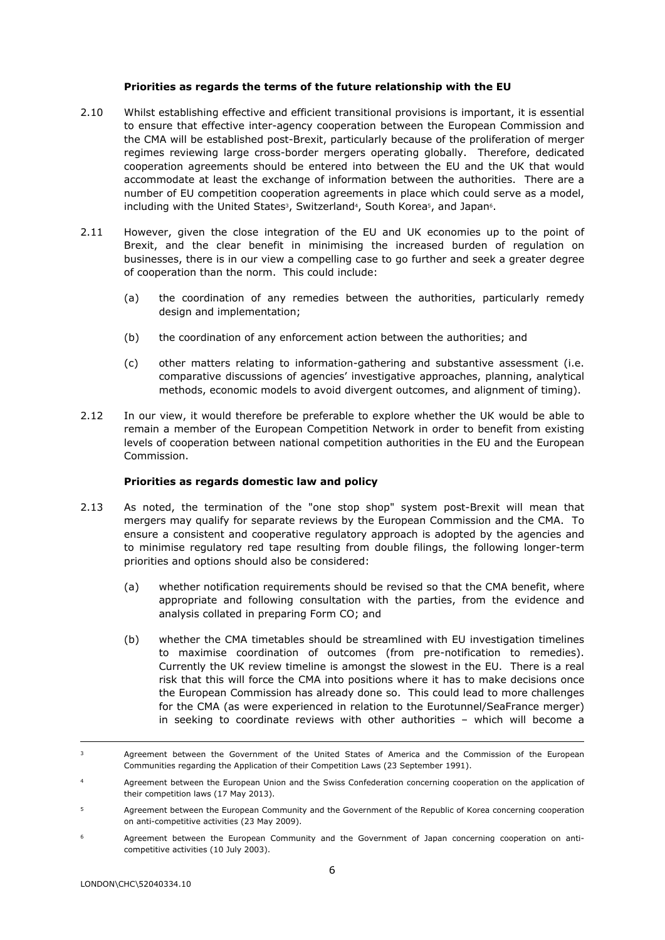### **Priorities as regards the terms of the future relationship with the EU**

- 2.10 Whilst establishing effective and efficient transitional provisions is important, it is essential to ensure that effective inter-agency cooperation between the European Commission and the CMA will be established post-Brexit, particularly because of the proliferation of merger regimes reviewing large cross-border mergers operating globally. Therefore, dedicated cooperation agreements should be entered into between the EU and the UK that would accommodate at least the exchange of information between the authorities. There are a number of EU competition cooperation agreements in place which could serve as a model, including with the United States<sup>3</sup>, Switzerland<sup>4</sup>, South Korea<sup>5</sup>, and Japan<sup>6</sup>.
- 2.11 However, given the close integration of the EU and UK economies up to the point of Brexit, and the clear benefit in minimising the increased burden of regulation on businesses, there is in our view a compelling case to go further and seek a greater degree of cooperation than the norm. This could include:
	- (a) the coordination of any remedies between the authorities, particularly remedy design and implementation;
	- (b) the coordination of any enforcement action between the authorities; and
	- (c) other matters relating to information-gathering and substantive assessment (i.e. comparative discussions of agencies' investigative approaches, planning, analytical methods, economic models to avoid divergent outcomes, and alignment of timing).
- 2.12 In our view, it would therefore be preferable to explore whether the UK would be able to remain a member of the European Competition Network in order to benefit from existing levels of cooperation between national competition authorities in the EU and the European Commission.

# **Priorities as regards domestic law and policy**

- 2.13 As noted, the termination of the "one stop shop" system post-Brexit will mean that mergers may qualify for separate reviews by the European Commission and the CMA. To ensure a consistent and cooperative regulatory approach is adopted by the agencies and to minimise regulatory red tape resulting from double filings, the following longer-term priorities and options should also be considered:
	- (a) whether notification requirements should be revised so that the CMA benefit, where appropriate and following consultation with the parties, from the evidence and analysis collated in preparing Form CO; and
	- (b) whether the CMA timetables should be streamlined with EU investigation timelines to maximise coordination of outcomes (from pre-notification to remedies). Currently the UK review timeline is amongst the slowest in the EU. There is a real risk that this will force the CMA into positions where it has to make decisions once the European Commission has already done so. This could lead to more challenges for the CMA (as were experienced in relation to the Eurotunnel/SeaFrance merger) in seeking to coordinate reviews with other authorities – which will become a

Agreement between the European Community and the Government of Japan concerning cooperation on anticompetitive activities (10 July 2003).

Agreement between the Government of the United States of America and the Commission of the European Communities regarding the Application of their Competition Laws (23 September 1991).

<sup>4</sup> Agreement between the European Union and the Swiss Confederation concerning cooperation on the application of their competition laws (17 May 2013).

<sup>5</sup> Agreement between the European Community and the Government of the Republic of Korea concerning cooperation on anti-competitive activities (23 May 2009).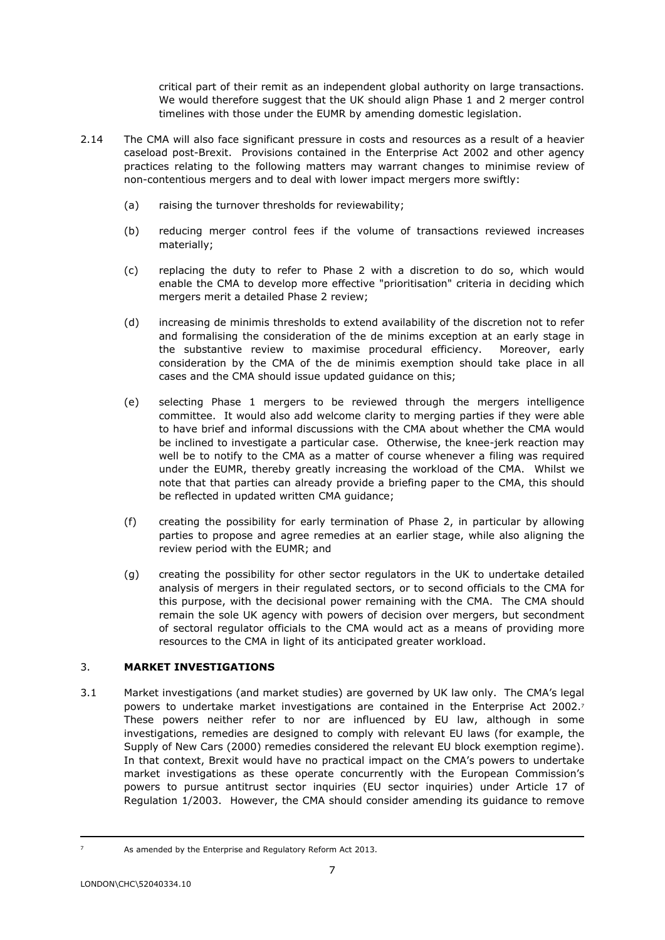critical part of their remit as an independent global authority on large transactions. We would therefore suggest that the UK should align Phase 1 and 2 merger control timelines with those under the EUMR by amending domestic legislation.

- 2.14 The CMA will also face significant pressure in costs and resources as a result of a heavier caseload post-Brexit. Provisions contained in the Enterprise Act 2002 and other agency practices relating to the following matters may warrant changes to minimise review of non-contentious mergers and to deal with lower impact mergers more swiftly:
	- (a) raising the turnover thresholds for reviewability;
	- (b) reducing merger control fees if the volume of transactions reviewed increases materially;
	- (c) replacing the duty to refer to Phase 2 with a discretion to do so, which would enable the CMA to develop more effective "prioritisation" criteria in deciding which mergers merit a detailed Phase 2 review;
	- (d) increasing de minimis thresholds to extend availability of the discretion not to refer and formalising the consideration of the de minims exception at an early stage in the substantive review to maximise procedural efficiency. Moreover, early consideration by the CMA of the de minimis exemption should take place in all cases and the CMA should issue updated guidance on this;
	- (e) selecting Phase 1 mergers to be reviewed through the mergers intelligence committee. It would also add welcome clarity to merging parties if they were able to have brief and informal discussions with the CMA about whether the CMA would be inclined to investigate a particular case. Otherwise, the knee-jerk reaction may well be to notify to the CMA as a matter of course whenever a filing was required under the EUMR, thereby greatly increasing the workload of the CMA. Whilst we note that that parties can already provide a briefing paper to the CMA, this should be reflected in updated written CMA guidance;
	- (f) creating the possibility for early termination of Phase 2, in particular by allowing parties to propose and agree remedies at an earlier stage, while also aligning the review period with the EUMR; and
	- (g) creating the possibility for other sector regulators in the UK to undertake detailed analysis of mergers in their regulated sectors, or to second officials to the CMA for this purpose, with the decisional power remaining with the CMA. The CMA should remain the sole UK agency with powers of decision over mergers, but secondment of sectoral regulator officials to the CMA would act as a means of providing more resources to the CMA in light of its anticipated greater workload.

# 3. **MARKET INVESTIGATIONS**

3.1 Market investigations (and market studies) are governed by UK law only. The CMA's legal powers to undertake market investigations are contained in the Enterprise Act 2002.7 These powers neither refer to nor are influenced by EU law, although in some investigations, remedies are designed to comply with relevant EU laws (for example, the Supply of New Cars (2000) remedies considered the relevant EU block exemption regime). In that context, Brexit would have no practical impact on the CMA's powers to undertake market investigations as these operate concurrently with the European Commission's powers to pursue antitrust sector inquiries (EU sector inquiries) under Article 17 of Regulation 1/2003. However, the CMA should consider amending its guidance to remove

As amended by the Enterprise and Regulatory Reform Act 2013.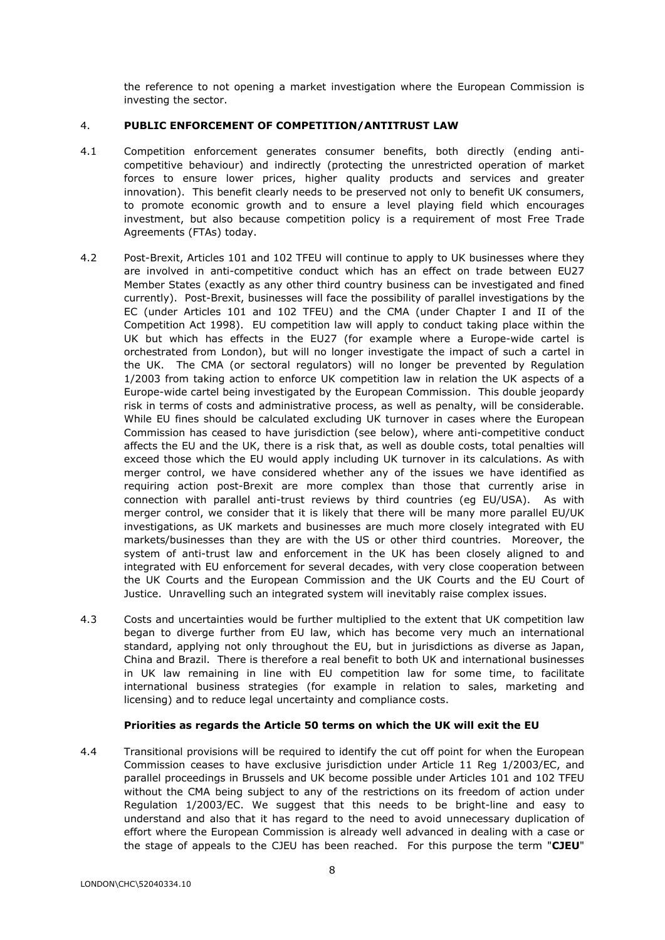the reference to not opening a market investigation where the European Commission is investing the sector.

# 4. **PUBLIC ENFORCEMENT OF COMPETITION/ANTITRUST LAW**

- 4.1 Competition enforcement generates consumer benefits, both directly (ending anticompetitive behaviour) and indirectly (protecting the unrestricted operation of market forces to ensure lower prices, higher quality products and services and greater innovation). This benefit clearly needs to be preserved not only to benefit UK consumers, to promote economic growth and to ensure a level playing field which encourages investment, but also because competition policy is a requirement of most Free Trade Agreements (FTAs) today.
- 4.2 Post-Brexit, Articles 101 and 102 TFEU will continue to apply to UK businesses where they are involved in anti-competitive conduct which has an effect on trade between EU27 Member States (exactly as any other third country business can be investigated and fined currently). Post-Brexit, businesses will face the possibility of parallel investigations by the EC (under Articles 101 and 102 TFEU) and the CMA (under Chapter I and II of the Competition Act 1998). EU competition law will apply to conduct taking place within the UK but which has effects in the EU27 (for example where a Europe-wide cartel is orchestrated from London), but will no longer investigate the impact of such a cartel in the UK. The CMA (or sectoral regulators) will no longer be prevented by Regulation 1/2003 from taking action to enforce UK competition law in relation the UK aspects of a Europe-wide cartel being investigated by the European Commission. This double jeopardy risk in terms of costs and administrative process, as well as penalty, will be considerable. While EU fines should be calculated excluding UK turnover in cases where the European Commission has ceased to have jurisdiction (see below), where anti-competitive conduct affects the EU and the UK, there is a risk that, as well as double costs, total penalties will exceed those which the EU would apply including UK turnover in its calculations. As with merger control, we have considered whether any of the issues we have identified as requiring action post-Brexit are more complex than those that currently arise in connection with parallel anti-trust reviews by third countries (eg EU/USA). As with merger control, we consider that it is likely that there will be many more parallel EU/UK investigations, as UK markets and businesses are much more closely integrated with EU markets/businesses than they are with the US or other third countries. Moreover, the system of anti-trust law and enforcement in the UK has been closely aligned to and integrated with EU enforcement for several decades, with very close cooperation between the UK Courts and the European Commission and the UK Courts and the EU Court of Justice. Unravelling such an integrated system will inevitably raise complex issues.
- 4.3 Costs and uncertainties would be further multiplied to the extent that UK competition law began to diverge further from EU law, which has become very much an international standard, applying not only throughout the EU, but in jurisdictions as diverse as Japan, China and Brazil. There is therefore a real benefit to both UK and international businesses in UK law remaining in line with EU competition law for some time, to facilitate international business strategies (for example in relation to sales, marketing and licensing) and to reduce legal uncertainty and compliance costs.

# **Priorities as regards the Article 50 terms on which the UK will exit the EU**

4.4 Transitional provisions will be required to identify the cut off point for when the European Commission ceases to have exclusive jurisdiction under Article 11 Reg 1/2003/EC, and parallel proceedings in Brussels and UK become possible under Articles 101 and 102 TFEU without the CMA being subject to any of the restrictions on its freedom of action under Regulation 1/2003/EC. We suggest that this needs to be bright-line and easy to understand and also that it has regard to the need to avoid unnecessary duplication of effort where the European Commission is already well advanced in dealing with a case or the stage of appeals to the CJEU has been reached. For this purpose the term "**CJEU**"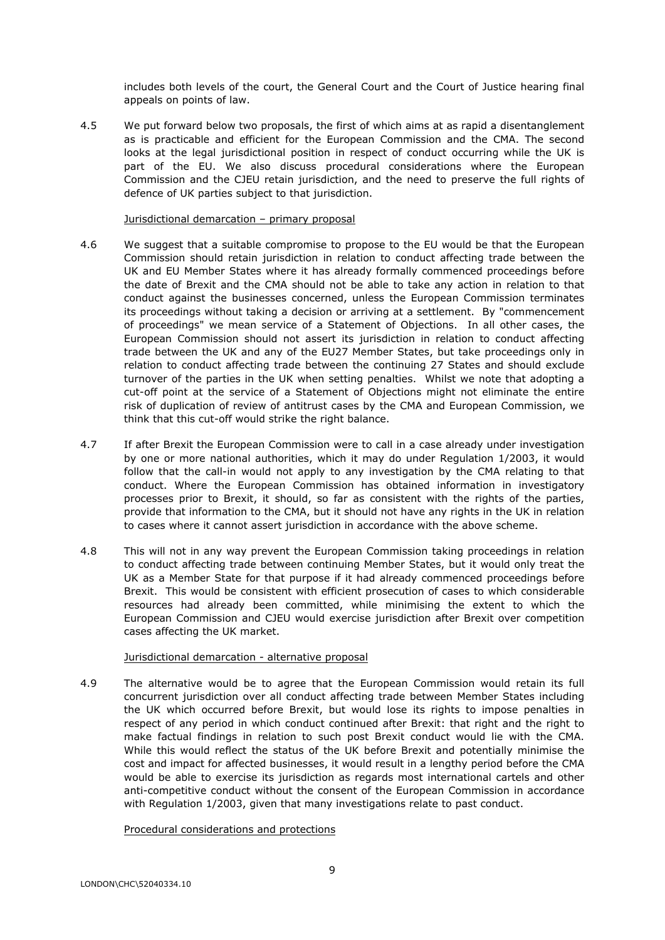includes both levels of the court, the General Court and the Court of Justice hearing final appeals on points of law.

4.5 We put forward below two proposals, the first of which aims at as rapid a disentanglement as is practicable and efficient for the European Commission and the CMA. The second looks at the legal jurisdictional position in respect of conduct occurring while the UK is part of the EU. We also discuss procedural considerations where the European Commission and the CJEU retain jurisdiction, and the need to preserve the full rights of defence of UK parties subject to that jurisdiction.

### Jurisdictional demarcation – primary proposal

- 4.6 We suggest that a suitable compromise to propose to the EU would be that the European Commission should retain jurisdiction in relation to conduct affecting trade between the UK and EU Member States where it has already formally commenced proceedings before the date of Brexit and the CMA should not be able to take any action in relation to that conduct against the businesses concerned, unless the European Commission terminates its proceedings without taking a decision or arriving at a settlement. By "commencement of proceedings" we mean service of a Statement of Objections. In all other cases, the European Commission should not assert its jurisdiction in relation to conduct affecting trade between the UK and any of the EU27 Member States, but take proceedings only in relation to conduct affecting trade between the continuing 27 States and should exclude turnover of the parties in the UK when setting penalties. Whilst we note that adopting a cut-off point at the service of a Statement of Objections might not eliminate the entire risk of duplication of review of antitrust cases by the CMA and European Commission, we think that this cut-off would strike the right balance.
- 4.7 If after Brexit the European Commission were to call in a case already under investigation by one or more national authorities, which it may do under Regulation 1/2003, it would follow that the call-in would not apply to any investigation by the CMA relating to that conduct. Where the European Commission has obtained information in investigatory processes prior to Brexit, it should, so far as consistent with the rights of the parties, provide that information to the CMA, but it should not have any rights in the UK in relation to cases where it cannot assert jurisdiction in accordance with the above scheme.
- 4.8 This will not in any way prevent the European Commission taking proceedings in relation to conduct affecting trade between continuing Member States, but it would only treat the UK as a Member State for that purpose if it had already commenced proceedings before Brexit. This would be consistent with efficient prosecution of cases to which considerable resources had already been committed, while minimising the extent to which the European Commission and CJEU would exercise jurisdiction after Brexit over competition cases affecting the UK market.

# Jurisdictional demarcation - alternative proposal

4.9 The alternative would be to agree that the European Commission would retain its full concurrent jurisdiction over all conduct affecting trade between Member States including the UK which occurred before Brexit, but would lose its rights to impose penalties in respect of any period in which conduct continued after Brexit: that right and the right to make factual findings in relation to such post Brexit conduct would lie with the CMA. While this would reflect the status of the UK before Brexit and potentially minimise the cost and impact for affected businesses, it would result in a lengthy period before the CMA would be able to exercise its jurisdiction as regards most international cartels and other anti-competitive conduct without the consent of the European Commission in accordance with Regulation 1/2003, given that many investigations relate to past conduct.

# Procedural considerations and protections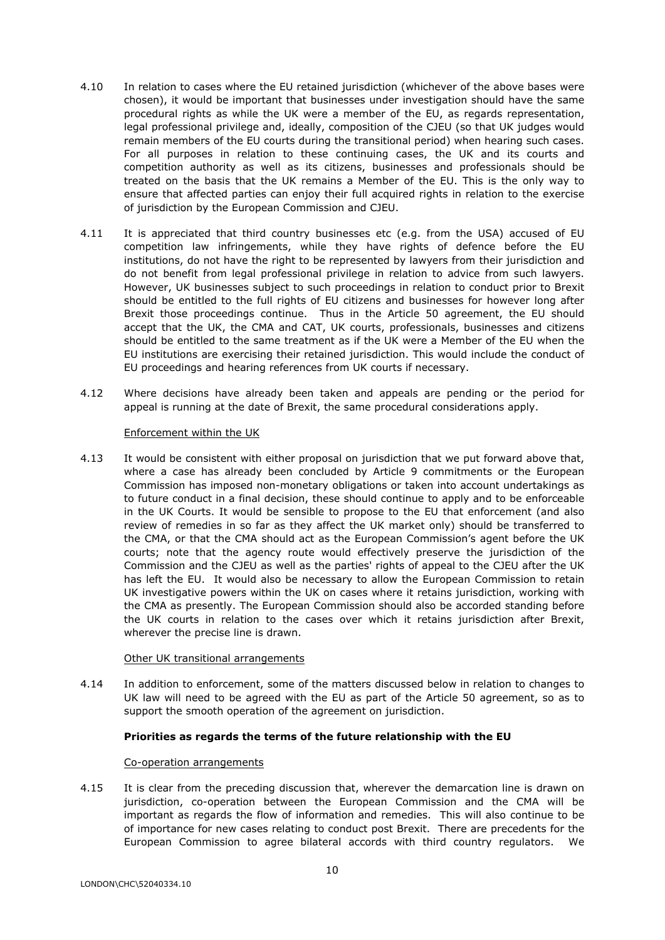- 4.10 In relation to cases where the EU retained jurisdiction (whichever of the above bases were chosen), it would be important that businesses under investigation should have the same procedural rights as while the UK were a member of the EU, as regards representation, legal professional privilege and, ideally, composition of the CJEU (so that UK judges would remain members of the EU courts during the transitional period) when hearing such cases. For all purposes in relation to these continuing cases, the UK and its courts and competition authority as well as its citizens, businesses and professionals should be treated on the basis that the UK remains a Member of the EU. This is the only way to ensure that affected parties can enjoy their full acquired rights in relation to the exercise of jurisdiction by the European Commission and CJEU.
- 4.11 It is appreciated that third country businesses etc (e.g. from the USA) accused of EU competition law infringements, while they have rights of defence before the EU institutions, do not have the right to be represented by lawyers from their jurisdiction and do not benefit from legal professional privilege in relation to advice from such lawyers. However, UK businesses subject to such proceedings in relation to conduct prior to Brexit should be entitled to the full rights of EU citizens and businesses for however long after Brexit those proceedings continue. Thus in the Article 50 agreement, the EU should accept that the UK, the CMA and CAT, UK courts, professionals, businesses and citizens should be entitled to the same treatment as if the UK were a Member of the EU when the EU institutions are exercising their retained jurisdiction. This would include the conduct of EU proceedings and hearing references from UK courts if necessary.
- 4.12 Where decisions have already been taken and appeals are pending or the period for appeal is running at the date of Brexit, the same procedural considerations apply.

### Enforcement within the UK

4.13 It would be consistent with either proposal on jurisdiction that we put forward above that, where a case has already been concluded by Article 9 commitments or the European Commission has imposed non-monetary obligations or taken into account undertakings as to future conduct in a final decision, these should continue to apply and to be enforceable in the UK Courts. It would be sensible to propose to the EU that enforcement (and also review of remedies in so far as they affect the UK market only) should be transferred to the CMA, or that the CMA should act as the European Commission's agent before the UK courts; note that the agency route would effectively preserve the jurisdiction of the Commission and the CJEU as well as the parties' rights of appeal to the CJEU after the UK has left the EU. It would also be necessary to allow the European Commission to retain UK investigative powers within the UK on cases where it retains jurisdiction, working with the CMA as presently. The European Commission should also be accorded standing before the UK courts in relation to the cases over which it retains jurisdiction after Brexit, wherever the precise line is drawn.

# Other UK transitional arrangements

4.14 In addition to enforcement, some of the matters discussed below in relation to changes to UK law will need to be agreed with the EU as part of the Article 50 agreement, so as to support the smooth operation of the agreement on jurisdiction.

# **Priorities as regards the terms of the future relationship with the EU**

# Co-operation arrangements

4.15 It is clear from the preceding discussion that, wherever the demarcation line is drawn on jurisdiction, co-operation between the European Commission and the CMA will be important as regards the flow of information and remedies. This will also continue to be of importance for new cases relating to conduct post Brexit. There are precedents for the European Commission to agree bilateral accords with third country regulators. We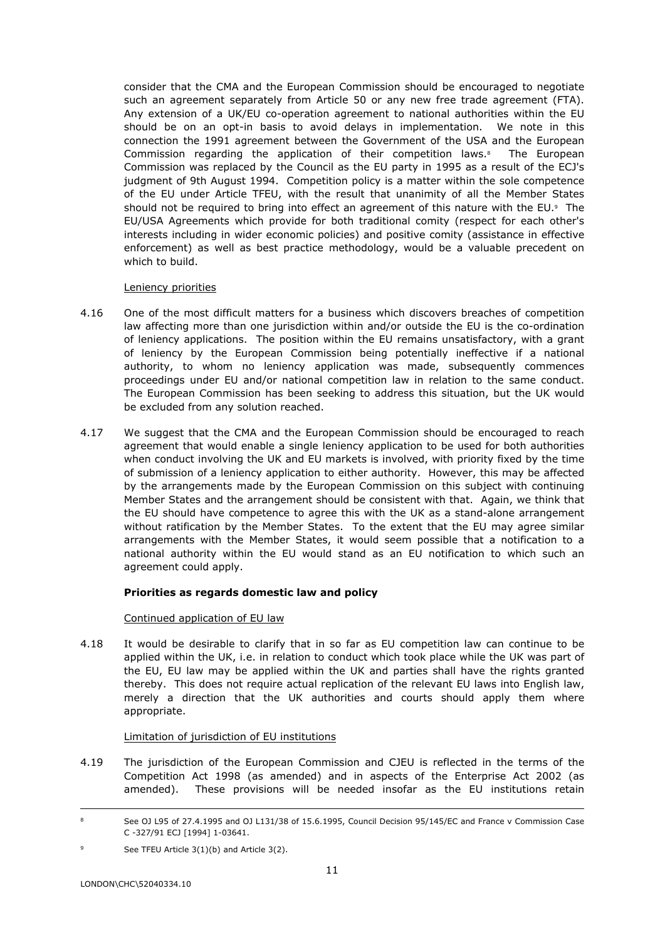consider that the CMA and the European Commission should be encouraged to negotiate such an agreement separately from Article 50 or any new free trade agreement (FTA). Any extension of a UK/EU co-operation agreement to national authorities within the EU should be on an opt-in basis to avoid delays in implementation. We note in this connection the 1991 agreement between the Government of the USA and the European Commission regarding the application of their competition laws.<sup>8</sup> The European Commission was replaced by the Council as the EU party in 1995 as a result of the ECJ's judgment of 9th August 1994. Competition policy is a matter within the sole competence of the EU under Article TFEU, with the result that unanimity of all the Member States should not be required to bring into effect an agreement of this nature with the EU. $9$  The EU/USA Agreements which provide for both traditional comity (respect for each other's interests including in wider economic policies) and positive comity (assistance in effective enforcement) as well as best practice methodology, would be a valuable precedent on which to build.

# Leniency priorities

- 4.16 One of the most difficult matters for a business which discovers breaches of competition law affecting more than one jurisdiction within and/or outside the EU is the co-ordination of leniency applications. The position within the EU remains unsatisfactory, with a grant of leniency by the European Commission being potentially ineffective if a national authority, to whom no leniency application was made, subsequently commences proceedings under EU and/or national competition law in relation to the same conduct. The European Commission has been seeking to address this situation, but the UK would be excluded from any solution reached.
- 4.17 We suggest that the CMA and the European Commission should be encouraged to reach agreement that would enable a single leniency application to be used for both authorities when conduct involving the UK and EU markets is involved, with priority fixed by the time of submission of a leniency application to either authority. However, this may be affected by the arrangements made by the European Commission on this subject with continuing Member States and the arrangement should be consistent with that. Again, we think that the EU should have competence to agree this with the UK as a stand-alone arrangement without ratification by the Member States. To the extent that the EU may agree similar arrangements with the Member States, it would seem possible that a notification to a national authority within the EU would stand as an EU notification to which such an agreement could apply.

# **Priorities as regards domestic law and policy**

# Continued application of EU law

4.18 It would be desirable to clarify that in so far as EU competition law can continue to be applied within the UK, i.e. in relation to conduct which took place while the UK was part of the EU, EU law may be applied within the UK and parties shall have the rights granted thereby. This does not require actual replication of the relevant EU laws into English law, merely a direction that the UK authorities and courts should apply them where appropriate.

# Limitation of jurisdiction of EU institutions

4.19 The jurisdiction of the European Commission and CJEU is reflected in the terms of the Competition Act 1998 (as amended) and in aspects of the Enterprise Act 2002 (as amended). These provisions will be needed insofar as the EU institutions retain

See OJ L95 of 27.4.1995 and OJ L131/38 of 15.6.1995, Council Decision 95/145/EC and France v Commission Case C -327/91 ECJ [1994] 1-03641.

<sup>9</sup> See TFEU Article  $3(1)(b)$  and Article  $3(2)$ .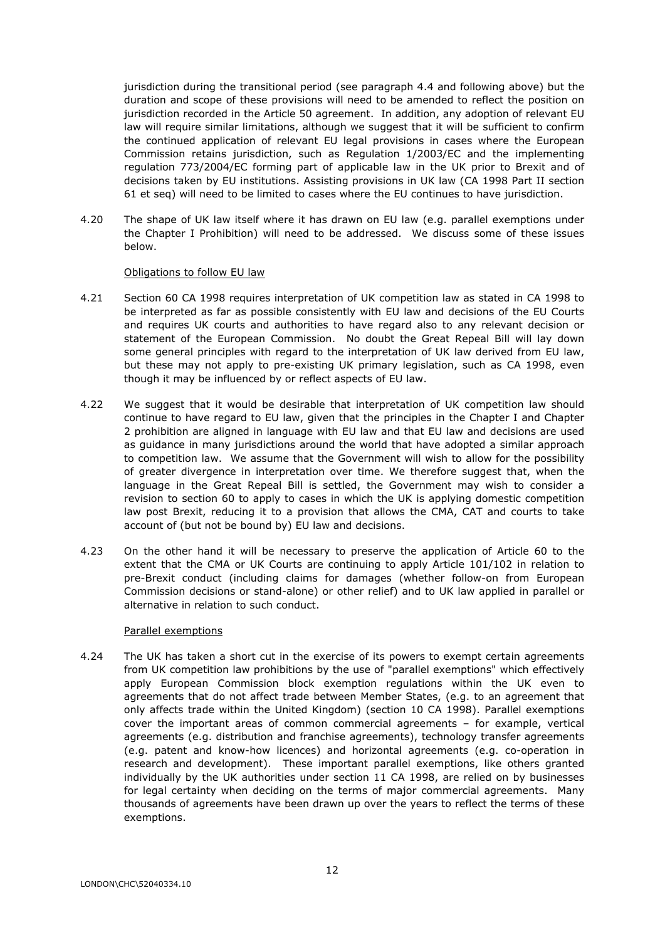jurisdiction during the transitional period (see paragraph 4.4 and following above) but the duration and scope of these provisions will need to be amended to reflect the position on jurisdiction recorded in the Article 50 agreement. In addition, any adoption of relevant EU law will require similar limitations, although we suggest that it will be sufficient to confirm the continued application of relevant EU legal provisions in cases where the European Commission retains jurisdiction, such as Regulation 1/2003/EC and the implementing regulation 773/2004/EC forming part of applicable law in the UK prior to Brexit and of decisions taken by EU institutions. Assisting provisions in UK law (CA 1998 Part II section 61 et seq) will need to be limited to cases where the EU continues to have jurisdiction.

4.20 The shape of UK law itself where it has drawn on EU law (e.g. parallel exemptions under the Chapter I Prohibition) will need to be addressed. We discuss some of these issues below.

### Obligations to follow EU law

- 4.21 Section 60 CA 1998 requires interpretation of UK competition law as stated in CA 1998 to be interpreted as far as possible consistently with EU law and decisions of the EU Courts and requires UK courts and authorities to have regard also to any relevant decision or statement of the European Commission. No doubt the Great Repeal Bill will lay down some general principles with regard to the interpretation of UK law derived from EU law, but these may not apply to pre-existing UK primary legislation, such as CA 1998, even though it may be influenced by or reflect aspects of EU law.
- 4.22 We suggest that it would be desirable that interpretation of UK competition law should continue to have regard to EU law, given that the principles in the Chapter I and Chapter 2 prohibition are aligned in language with EU law and that EU law and decisions are used as guidance in many jurisdictions around the world that have adopted a similar approach to competition law. We assume that the Government will wish to allow for the possibility of greater divergence in interpretation over time. We therefore suggest that, when the language in the Great Repeal Bill is settled, the Government may wish to consider a revision to section 60 to apply to cases in which the UK is applying domestic competition law post Brexit, reducing it to a provision that allows the CMA, CAT and courts to take account of (but not be bound by) EU law and decisions.
- 4.23 On the other hand it will be necessary to preserve the application of Article 60 to the extent that the CMA or UK Courts are continuing to apply Article 101/102 in relation to pre-Brexit conduct (including claims for damages (whether follow-on from European Commission decisions or stand-alone) or other relief) and to UK law applied in parallel or alternative in relation to such conduct.

# Parallel exemptions

4.24 The UK has taken a short cut in the exercise of its powers to exempt certain agreements from UK competition law prohibitions by the use of "parallel exemptions" which effectively apply European Commission block exemption regulations within the UK even to agreements that do not affect trade between Member States, (e.g. to an agreement that only affects trade within the United Kingdom) (section 10 CA 1998). Parallel exemptions cover the important areas of common commercial agreements – for example, vertical agreements (e.g. distribution and franchise agreements), technology transfer agreements (e.g. patent and know-how licences) and horizontal agreements (e.g. co-operation in research and development). These important parallel exemptions, like others granted individually by the UK authorities under section 11 CA 1998, are relied on by businesses for legal certainty when deciding on the terms of major commercial agreements. Many thousands of agreements have been drawn up over the years to reflect the terms of these exemptions.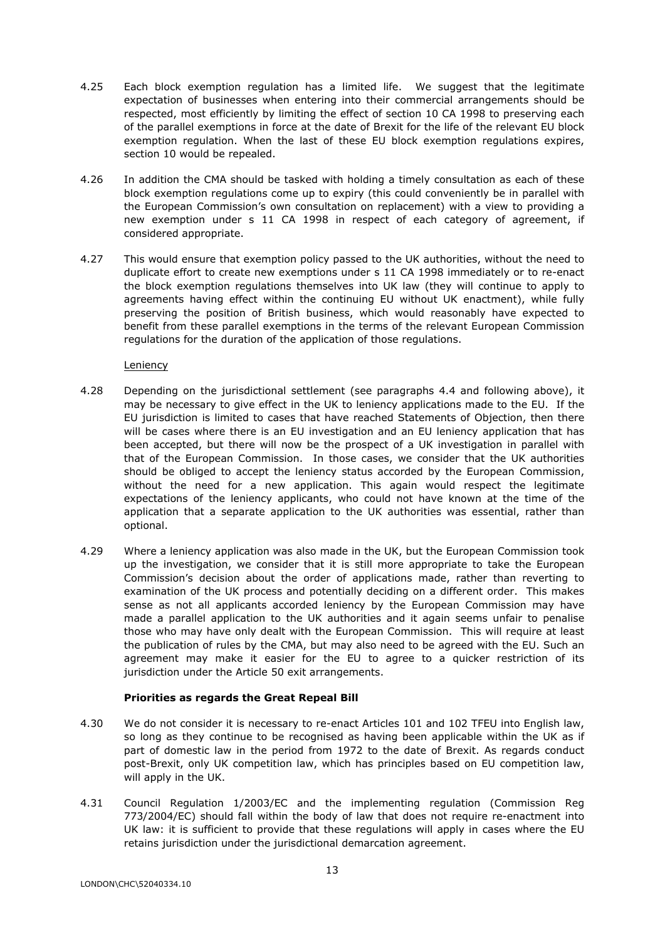- 4.25 Each block exemption regulation has a limited life. We suggest that the legitimate expectation of businesses when entering into their commercial arrangements should be respected, most efficiently by limiting the effect of section 10 CA 1998 to preserving each of the parallel exemptions in force at the date of Brexit for the life of the relevant EU block exemption regulation. When the last of these EU block exemption regulations expires, section 10 would be repealed.
- 4.26 In addition the CMA should be tasked with holding a timely consultation as each of these block exemption regulations come up to expiry (this could conveniently be in parallel with the European Commission's own consultation on replacement) with a view to providing a new exemption under s 11 CA 1998 in respect of each category of agreement, if considered appropriate.
- 4.27 This would ensure that exemption policy passed to the UK authorities, without the need to duplicate effort to create new exemptions under s 11 CA 1998 immediately or to re-enact the block exemption regulations themselves into UK law (they will continue to apply to agreements having effect within the continuing EU without UK enactment), while fully preserving the position of British business, which would reasonably have expected to benefit from these parallel exemptions in the terms of the relevant European Commission regulations for the duration of the application of those regulations.

# Leniency

- 4.28 Depending on the jurisdictional settlement (see paragraphs 4.4 and following above), it may be necessary to give effect in the UK to leniency applications made to the EU. If the EU jurisdiction is limited to cases that have reached Statements of Objection, then there will be cases where there is an EU investigation and an EU leniency application that has been accepted, but there will now be the prospect of a UK investigation in parallel with that of the European Commission. In those cases, we consider that the UK authorities should be obliged to accept the leniency status accorded by the European Commission, without the need for a new application. This again would respect the legitimate expectations of the leniency applicants, who could not have known at the time of the application that a separate application to the UK authorities was essential, rather than optional.
- 4.29 Where a leniency application was also made in the UK, but the European Commission took up the investigation, we consider that it is still more appropriate to take the European Commission's decision about the order of applications made, rather than reverting to examination of the UK process and potentially deciding on a different order. This makes sense as not all applicants accorded leniency by the European Commission may have made a parallel application to the UK authorities and it again seems unfair to penalise those who may have only dealt with the European Commission. This will require at least the publication of rules by the CMA, but may also need to be agreed with the EU. Such an agreement may make it easier for the EU to agree to a quicker restriction of its jurisdiction under the Article 50 exit arrangements.

# **Priorities as regards the Great Repeal Bill**

- 4.30 We do not consider it is necessary to re-enact Articles 101 and 102 TFEU into English law, so long as they continue to be recognised as having been applicable within the UK as if part of domestic law in the period from 1972 to the date of Brexit. As regards conduct post-Brexit, only UK competition law, which has principles based on EU competition law, will apply in the UK.
- 4.31 Council Regulation 1/2003/EC and the implementing regulation (Commission Reg 773/2004/EC) should fall within the body of law that does not require re-enactment into UK law: it is sufficient to provide that these regulations will apply in cases where the EU retains jurisdiction under the jurisdictional demarcation agreement.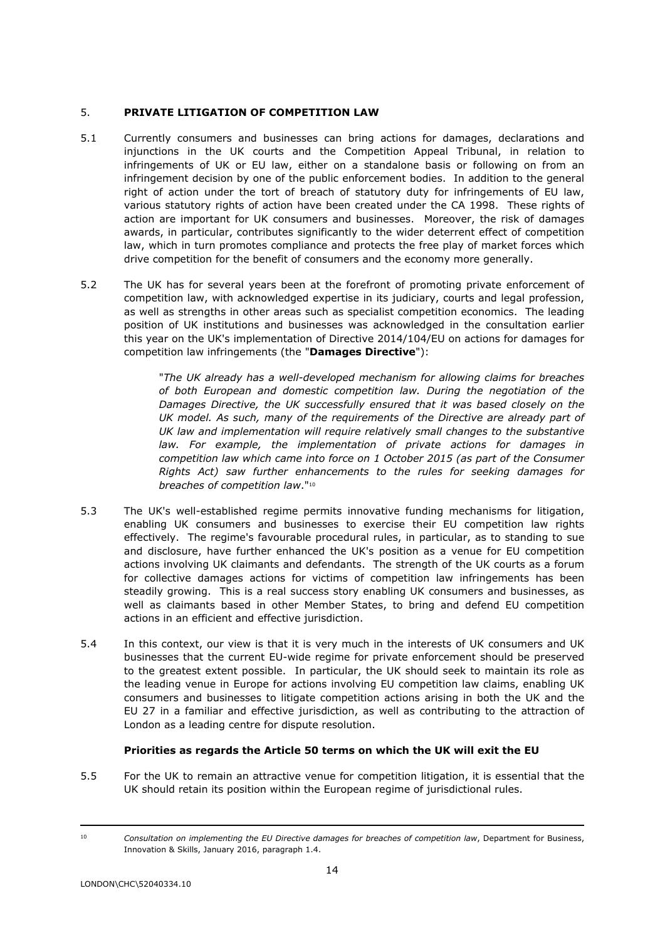# 5. **PRIVATE LITIGATION OF COMPETITION LAW**

- 5.1 Currently consumers and businesses can bring actions for damages, declarations and injunctions in the UK courts and the Competition Appeal Tribunal, in relation to infringements of UK or EU law, either on a standalone basis or following on from an infringement decision by one of the public enforcement bodies. In addition to the general right of action under the tort of breach of statutory duty for infringements of EU law, various statutory rights of action have been created under the CA 1998. These rights of action are important for UK consumers and businesses. Moreover, the risk of damages awards, in particular, contributes significantly to the wider deterrent effect of competition law, which in turn promotes compliance and protects the free play of market forces which drive competition for the benefit of consumers and the economy more generally.
- 5.2 The UK has for several years been at the forefront of promoting private enforcement of competition law, with acknowledged expertise in its judiciary, courts and legal profession, as well as strengths in other areas such as specialist competition economics. The leading position of UK institutions and businesses was acknowledged in the consultation earlier this year on the UK's implementation of Directive 2014/104/EU on actions for damages for competition law infringements (the "**Damages Directive**"):

"*The UK already has a well-developed mechanism for allowing claims for breaches of both European and domestic competition law. During the negotiation of the Damages Directive, the UK successfully ensured that it was based closely on the UK model. As such, many of the requirements of the Directive are already part of UK law and implementation will require relatively small changes to the substantive law. For example, the implementation of private actions for damages in competition law which came into force on 1 October 2015 (as part of the Consumer Rights Act) saw further enhancements to the rules for seeking damages for breaches of competition law*."<sup>10</sup>

- 5.3 The UK's well-established regime permits innovative funding mechanisms for litigation, enabling UK consumers and businesses to exercise their EU competition law rights effectively. The regime's favourable procedural rules, in particular, as to standing to sue and disclosure, have further enhanced the UK's position as a venue for EU competition actions involving UK claimants and defendants. The strength of the UK courts as a forum for collective damages actions for victims of competition law infringements has been steadily growing. This is a real success story enabling UK consumers and businesses, as well as claimants based in other Member States, to bring and defend EU competition actions in an efficient and effective jurisdiction.
- 5.4 In this context, our view is that it is very much in the interests of UK consumers and UK businesses that the current EU-wide regime for private enforcement should be preserved to the greatest extent possible. In particular, the UK should seek to maintain its role as the leading venue in Europe for actions involving EU competition law claims, enabling UK consumers and businesses to litigate competition actions arising in both the UK and the EU 27 in a familiar and effective jurisdiction, as well as contributing to the attraction of London as a leading centre for dispute resolution.

# **Priorities as regards the Article 50 terms on which the UK will exit the EU**

5.5 For the UK to remain an attractive venue for competition litigation, it is essential that the UK should retain its position within the European regime of jurisdictional rules.

<sup>10</sup> *Consultation on implementing the EU Directive damages for breaches of competition law*, Department for Business, Innovation & Skills, January 2016, paragraph 1.4.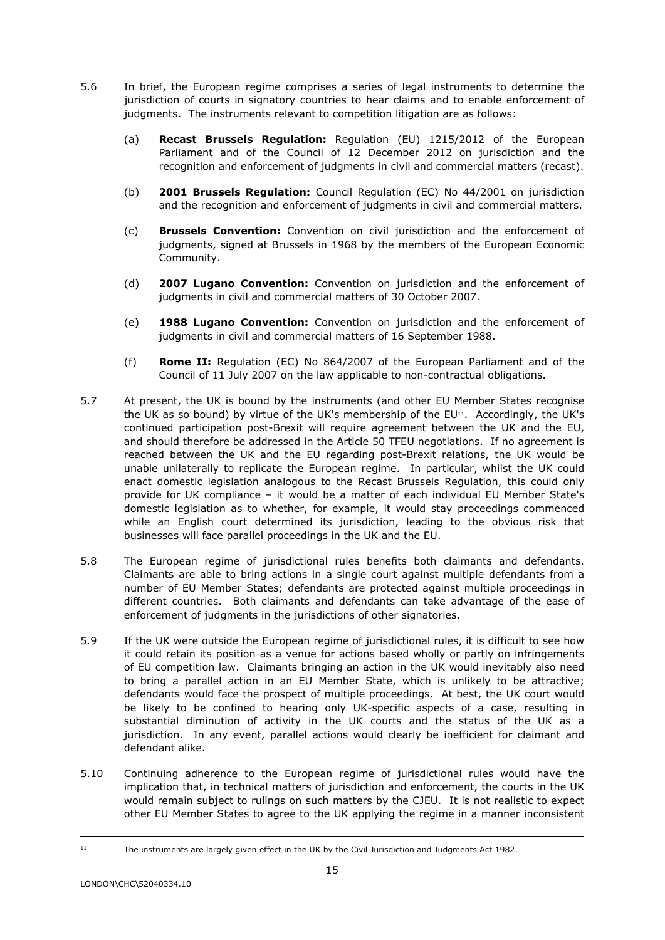- 5.6 In brief, the European regime comprises a series of legal instruments to determine the jurisdiction of courts in signatory countries to hear claims and to enable enforcement of judgments. The instruments relevant to competition litigation are as follows:
	- (a) **Recast Brussels Regulation:** Regulation (EU) 1215/2012 of the European Parliament and of the Council of 12 December 2012 on jurisdiction and the recognition and enforcement of judgments in civil and commercial matters (recast).
	- (b) **2001 Brussels Regulation:** Council Regulation (EC) No 44/2001 on jurisdiction and the recognition and enforcement of judgments in civil and commercial matters.
	- (c) **Brussels Convention:** Convention on civil jurisdiction and the enforcement of judgments, signed at Brussels in 1968 by the members of the European Economic Community.
	- (d) **2007 Lugano Convention:** Convention on jurisdiction and the enforcement of judgments in civil and commercial matters of 30 October 2007.
	- (e) **1988 Lugano Convention:** Convention on jurisdiction and the enforcement of judgments in civil and commercial matters of 16 September 1988.
	- (f) **Rome II:** Regulation (EC) No 864/2007 of the European Parliament and of the Council of 11 July 2007 on the law applicable to non-contractual obligations.
- 5.7 At present, the UK is bound by the instruments (and other EU Member States recognise the UK as so bound) by virtue of the UK's membership of the  $EU<sup>11</sup>$ . Accordingly, the UK's continued participation post-Brexit will require agreement between the UK and the EU, and should therefore be addressed in the Article 50 TFEU negotiations. If no agreement is reached between the UK and the EU regarding post-Brexit relations, the UK would be unable unilaterally to replicate the European regime. In particular, whilst the UK could enact domestic legislation analogous to the Recast Brussels Regulation, this could only provide for UK compliance – it would be a matter of each individual EU Member State's domestic legislation as to whether, for example, it would stay proceedings commenced while an English court determined its jurisdiction, leading to the obvious risk that businesses will face parallel proceedings in the UK and the EU.
- 5.8 The European regime of jurisdictional rules benefits both claimants and defendants. Claimants are able to bring actions in a single court against multiple defendants from a number of EU Member States; defendants are protected against multiple proceedings in different countries. Both claimants and defendants can take advantage of the ease of enforcement of judgments in the jurisdictions of other signatories.
- 5.9 If the UK were outside the European regime of jurisdictional rules, it is difficult to see how it could retain its position as a venue for actions based wholly or partly on infringements of EU competition law. Claimants bringing an action in the UK would inevitably also need to bring a parallel action in an EU Member State, which is unlikely to be attractive; defendants would face the prospect of multiple proceedings. At best, the UK court would be likely to be confined to hearing only UK-specific aspects of a case, resulting in substantial diminution of activity in the UK courts and the status of the UK as a jurisdiction. In any event, parallel actions would clearly be inefficient for claimant and defendant alike.
- 5.10 Continuing adherence to the European regime of jurisdictional rules would have the implication that, in technical matters of jurisdiction and enforcement, the courts in the UK would remain subject to rulings on such matters by the CJEU. It is not realistic to expect other EU Member States to agree to the UK applying the regime in a manner inconsistent

<sup>11</sup> The instruments are largely given effect in the UK by the Civil Jurisdiction and Judgments Act 1982.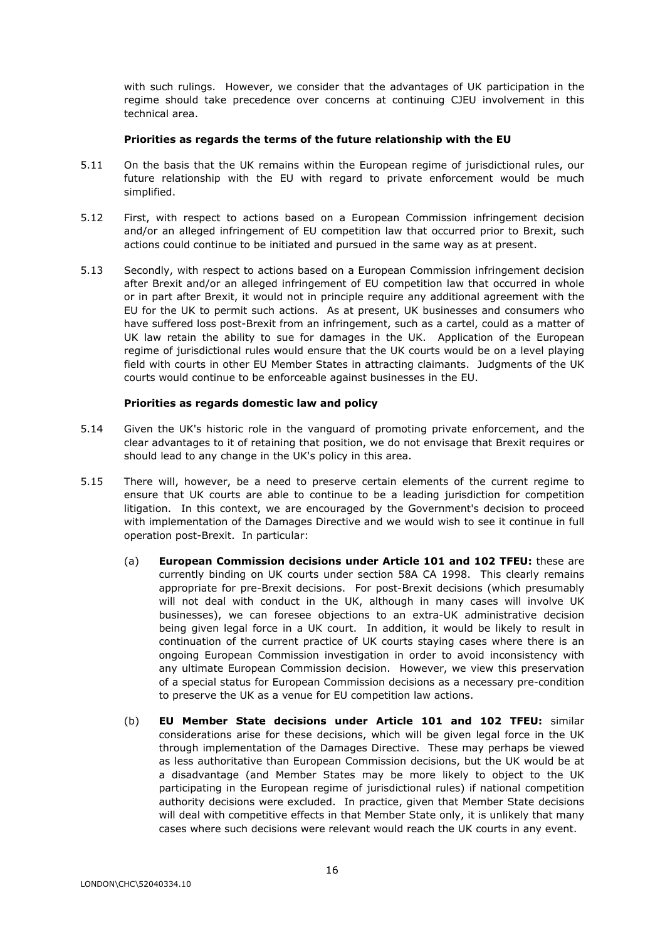with such rulings. However, we consider that the advantages of UK participation in the regime should take precedence over concerns at continuing CJEU involvement in this technical area.

### **Priorities as regards the terms of the future relationship with the EU**

- 5.11 On the basis that the UK remains within the European regime of jurisdictional rules, our future relationship with the EU with regard to private enforcement would be much simplified.
- 5.12 First, with respect to actions based on a European Commission infringement decision and/or an alleged infringement of EU competition law that occurred prior to Brexit, such actions could continue to be initiated and pursued in the same way as at present.
- 5.13 Secondly, with respect to actions based on a European Commission infringement decision after Brexit and/or an alleged infringement of EU competition law that occurred in whole or in part after Brexit, it would not in principle require any additional agreement with the EU for the UK to permit such actions. As at present, UK businesses and consumers who have suffered loss post-Brexit from an infringement, such as a cartel, could as a matter of UK law retain the ability to sue for damages in the UK. Application of the European regime of jurisdictional rules would ensure that the UK courts would be on a level playing field with courts in other EU Member States in attracting claimants. Judgments of the UK courts would continue to be enforceable against businesses in the EU.

# **Priorities as regards domestic law and policy**

- 5.14 Given the UK's historic role in the vanguard of promoting private enforcement, and the clear advantages to it of retaining that position, we do not envisage that Brexit requires or should lead to any change in the UK's policy in this area.
- 5.15 There will, however, be a need to preserve certain elements of the current regime to ensure that UK courts are able to continue to be a leading jurisdiction for competition litigation. In this context, we are encouraged by the Government's decision to proceed with implementation of the Damages Directive and we would wish to see it continue in full operation post-Brexit. In particular:
	- (a) **European Commission decisions under Article 101 and 102 TFEU:** these are currently binding on UK courts under section 58A CA 1998. This clearly remains appropriate for pre-Brexit decisions. For post-Brexit decisions (which presumably will not deal with conduct in the UK, although in many cases will involve UK businesses), we can foresee objections to an extra-UK administrative decision being given legal force in a UK court. In addition, it would be likely to result in continuation of the current practice of UK courts staying cases where there is an ongoing European Commission investigation in order to avoid inconsistency with any ultimate European Commission decision. However, we view this preservation of a special status for European Commission decisions as a necessary pre-condition to preserve the UK as a venue for EU competition law actions.
	- (b) **EU Member State decisions under Article 101 and 102 TFEU:** similar considerations arise for these decisions, which will be given legal force in the UK through implementation of the Damages Directive. These may perhaps be viewed as less authoritative than European Commission decisions, but the UK would be at a disadvantage (and Member States may be more likely to object to the UK participating in the European regime of jurisdictional rules) if national competition authority decisions were excluded. In practice, given that Member State decisions will deal with competitive effects in that Member State only, it is unlikely that many cases where such decisions were relevant would reach the UK courts in any event.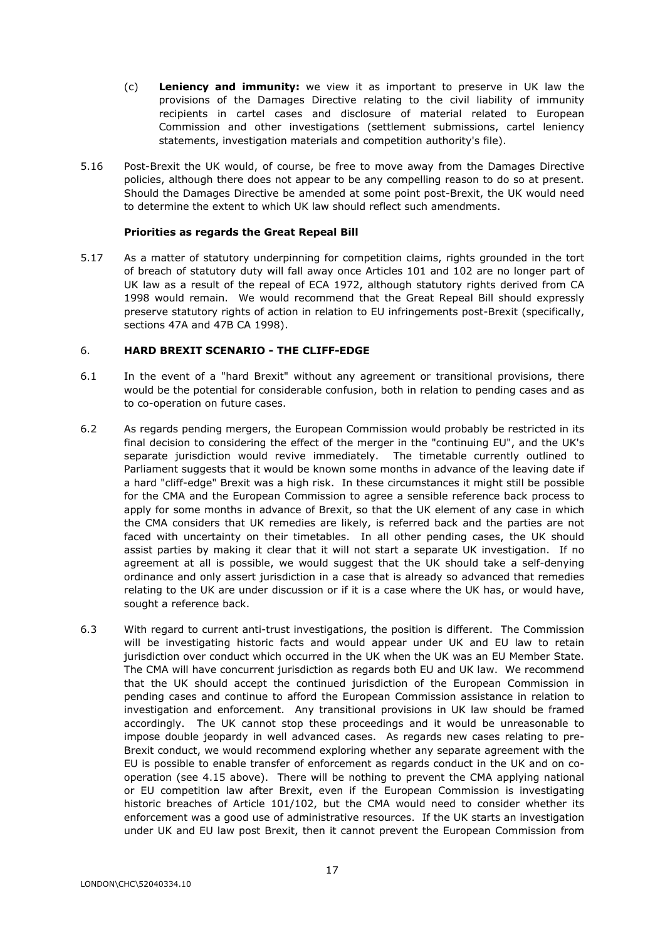- (c) **Leniency and immunity:** we view it as important to preserve in UK law the provisions of the Damages Directive relating to the civil liability of immunity recipients in cartel cases and disclosure of material related to European Commission and other investigations (settlement submissions, cartel leniency statements, investigation materials and competition authority's file).
- 5.16 Post-Brexit the UK would, of course, be free to move away from the Damages Directive policies, although there does not appear to be any compelling reason to do so at present. Should the Damages Directive be amended at some point post-Brexit, the UK would need to determine the extent to which UK law should reflect such amendments.

# **Priorities as regards the Great Repeal Bill**

5.17 As a matter of statutory underpinning for competition claims, rights grounded in the tort of breach of statutory duty will fall away once Articles 101 and 102 are no longer part of UK law as a result of the repeal of ECA 1972, although statutory rights derived from CA 1998 would remain. We would recommend that the Great Repeal Bill should expressly preserve statutory rights of action in relation to EU infringements post-Brexit (specifically, sections 47A and 47B CA 1998).

### 6. **HARD BREXIT SCENARIO - THE CLIFF-EDGE**

- 6.1 In the event of a "hard Brexit" without any agreement or transitional provisions, there would be the potential for considerable confusion, both in relation to pending cases and as to co-operation on future cases.
- 6.2 As regards pending mergers, the European Commission would probably be restricted in its final decision to considering the effect of the merger in the "continuing EU", and the UK's separate jurisdiction would revive immediately. The timetable currently outlined to Parliament suggests that it would be known some months in advance of the leaving date if a hard "cliff-edge" Brexit was a high risk. In these circumstances it might still be possible for the CMA and the European Commission to agree a sensible reference back process to apply for some months in advance of Brexit, so that the UK element of any case in which the CMA considers that UK remedies are likely, is referred back and the parties are not faced with uncertainty on their timetables. In all other pending cases, the UK should assist parties by making it clear that it will not start a separate UK investigation. If no agreement at all is possible, we would suggest that the UK should take a self-denying ordinance and only assert jurisdiction in a case that is already so advanced that remedies relating to the UK are under discussion or if it is a case where the UK has, or would have, sought a reference back.
- 6.3 With regard to current anti-trust investigations, the position is different. The Commission will be investigating historic facts and would appear under UK and EU law to retain jurisdiction over conduct which occurred in the UK when the UK was an EU Member State. The CMA will have concurrent jurisdiction as regards both EU and UK law. We recommend that the UK should accept the continued jurisdiction of the European Commission in pending cases and continue to afford the European Commission assistance in relation to investigation and enforcement. Any transitional provisions in UK law should be framed accordingly. The UK cannot stop these proceedings and it would be unreasonable to impose double jeopardy in well advanced cases. As regards new cases relating to pre-Brexit conduct, we would recommend exploring whether any separate agreement with the EU is possible to enable transfer of enforcement as regards conduct in the UK and on cooperation (see 4.15 above). There will be nothing to prevent the CMA applying national or EU competition law after Brexit, even if the European Commission is investigating historic breaches of Article 101/102, but the CMA would need to consider whether its enforcement was a good use of administrative resources. If the UK starts an investigation under UK and EU law post Brexit, then it cannot prevent the European Commission from